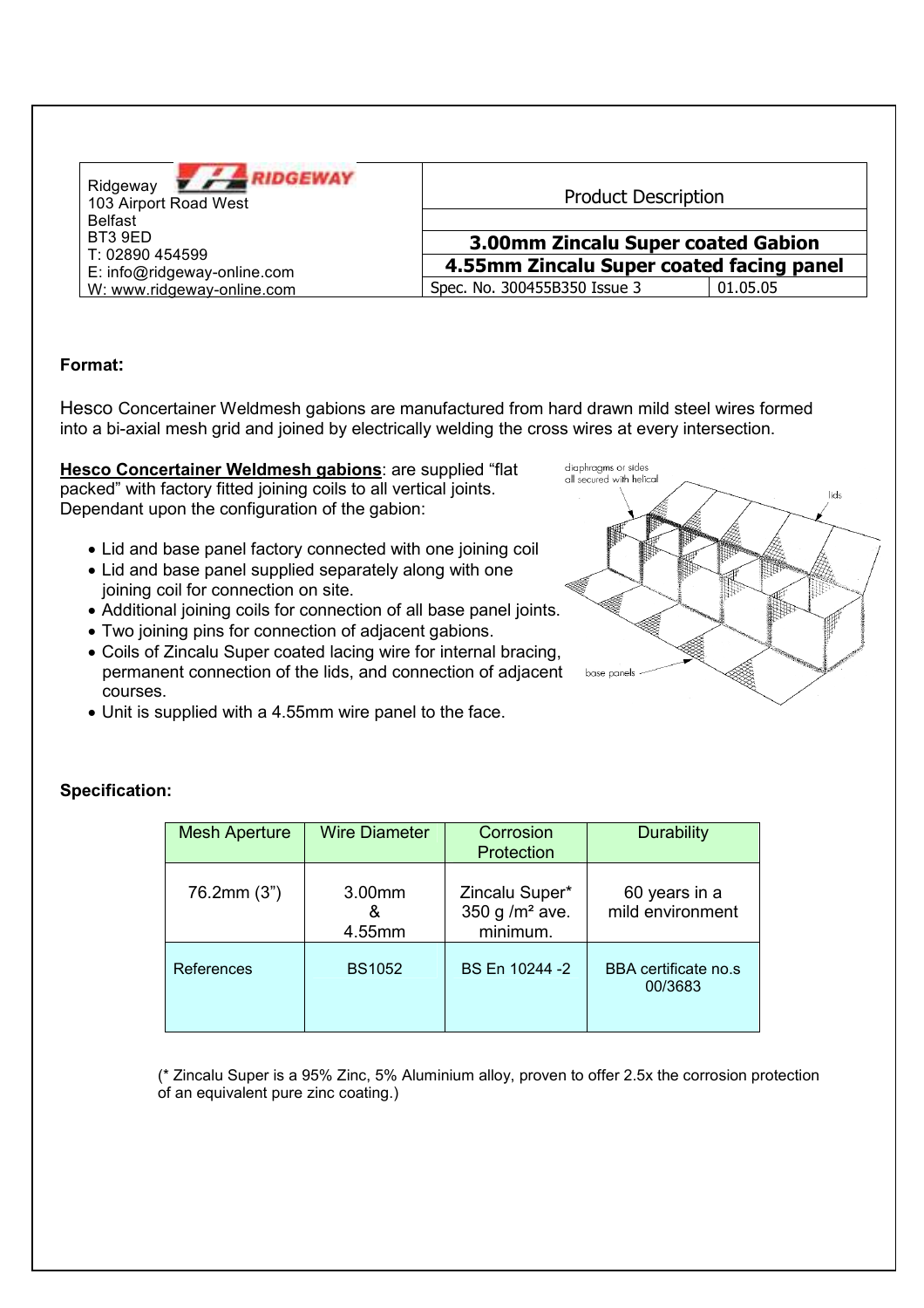| <b>NDGEWAY</b><br>Ridgeway<br>103 Airport Road West<br><b>Belfast</b><br>BT3 9ED<br>T: 02890 454599 | <b>Product Description</b><br>3.00mm Zincalu Super coated Gabion |          |  |
|-----------------------------------------------------------------------------------------------------|------------------------------------------------------------------|----------|--|
| E: info@ridgeway-online.com                                                                         | 4.55mm Zincalu Super coated facing panel                         |          |  |
| W: www.ridgeway-online.com                                                                          | Spec. No. 300455B350 Issue 3                                     | 01.05.05 |  |

## Format:

Hesco Concertainer Weldmesh gabions are manufactured from hard drawn mild steel wires formed into a bi-axial mesh grid and joined by electrically welding the cross wires at every intersection.

Hesco Concertainer Weldmesh gabions: are supplied "flat packed" with factory fitted joining coils to all vertical joints. Dependant upon the configuration of the gabion:

- Lid and base panel factory connected with one joining coil
- Lid and base panel supplied separately along with one joining coil for connection on site.
- Additional joining coils for connection of all base panel joints.
- . Two joining pins for connection of adjacent gabions.
- Coils of Zincalu Super coated lacing wire for internal bracing, permanent connection of the lids, and connection of adjacent courses.
- Unit is supplied with a 4.55mm wire panel to the face.



| <b>Mesh Aperture</b> | <b>Wire Diameter</b>  | Corrosion<br>Protection                        | <b>Durability</b>                 |
|----------------------|-----------------------|------------------------------------------------|-----------------------------------|
| 76.2mm (3")          | 3.00mm<br>&<br>4.55mm | Zincalu Super*<br>350 g $/m2$ ave.<br>minimum. | 60 years in a<br>mild environment |
| References           | <b>BS1052</b>         | BS En 10244 -2                                 | BBA certificate no.s<br>00/3683   |

(\* Zincalu Super is a 95% Zinc, 5% Aluminium alloy, proven to offer 2.5x the corrosion protection

of an equivalent pure zinc coating.)

#### **Specification:**